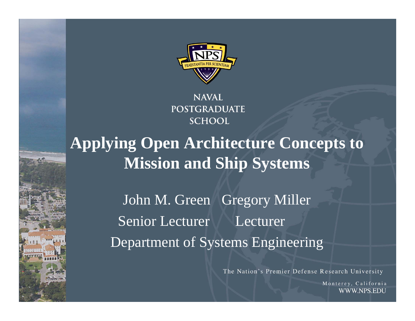

**NAVAL POSTGRADUATE SCHOOL** 

## **Applying Open Architecture Concepts to Mission and Ship Systems**

John M. Green Gregory Miller Senior Lecturer Lecturer Department of Systems Engineering

The Nation's Premier Defense Research University

Monterey, California WWW.NPS.EDU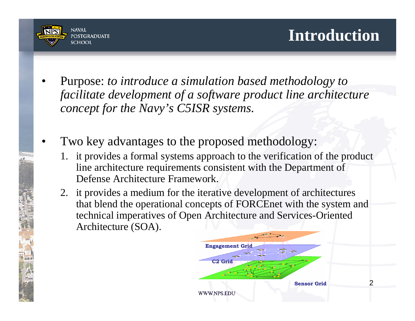

- • Purpose: *to introduce a simulation based methodology to facilitate development of a software product line architecture concept for the Navy's C5ISR systems.*
- • Two key advantages to the proposed methodology:
	- 1. it provides a formal systems approach to the verification of the product line architecture requirements consistent with the Department of Defense Architecture Framework.
	- 2. it provides a medium for the iterative development of architectures that blend the operational concepts of FORCEnet with the system and technical imperatives of Open Architecture and Services-Oriented Architecture (SOA).

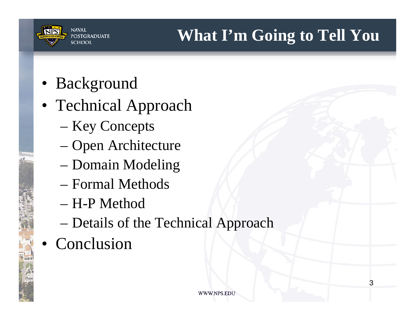

- Background
- Technical Approach
	- Key Concepts
	- –Open Architecture
	- Domain Modeling
	- Formal Methods
	- H-P Method
	- Details of the Technical Approach
- Conclusion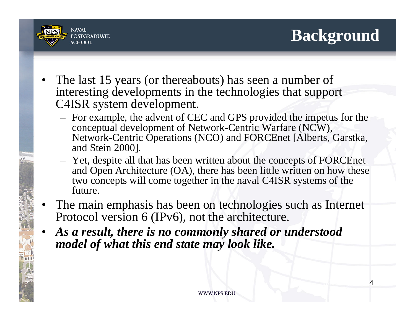

- • The last 15 years (or thereabouts) has seen a number of interesting developments in the technologies that support C4ISR system development.
	- For example, the advent of CEC and GPS provided the impetus for the conceptual development of Network-Centric Warfare (NCW), Network-Centric Operations (NCO) and FORCEnet [Alberts, Garstka, and Stein 2000].
	- Yet, despite all that has been written about the concepts of FORCEnet and Open Architecture (OA), there has been little written on how these two concepts will come together in the naval C4ISR systems of the future.
- • The main emphasis has been on technologies such as Internet Protocol version 6 (IPv6), not the architecture.
- • *As a result, there is no commonly shared or understood model of what this end state may look like.*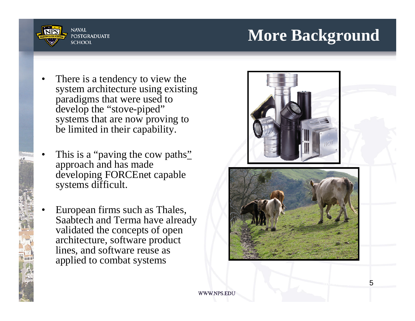



- • There is a tendency to view the system architecture using existing paradigms that were used to develop the "stove-piped" systems that are now proving to be limited in their capability.
- •This is a "paving the cow paths" approach and has made developing FORCEnet capable systems difficult.
- • European firms such as Thales, Saabtech and Terma have already validated the concepts of open architecture, software product lines, and software reuse as applied to combat systems

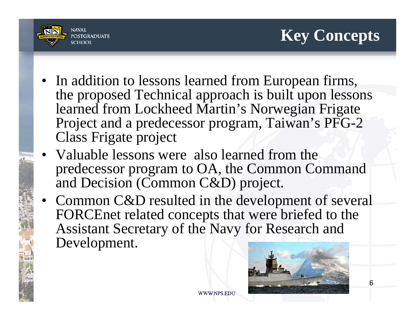

- In addition to lessons learned from European firms, the proposed Technical approach is built upon lessons learned from Lockheed Martin's Norwegian Frigate Project and a predecessor program, Taiwan's PFG-2 Class Frigate project
- Valuable lessons were also learned from the predecessor program to OA, the Common Command and Decision (Common C&D) project.
- Common C&D resulted in the development of several FORCEnet related concepts that were briefed to the Assistant Secretary of the Navy for Research and Development.

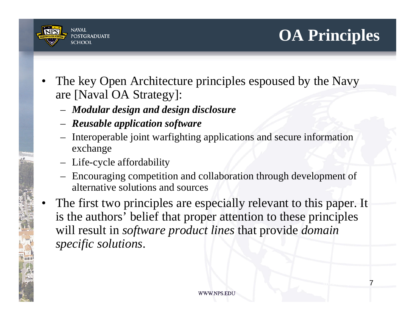

- • The key Open Architecture principles espoused by the Navy are [Naval OA Strategy]:
	- *Modular design and design disclosure*
	- *Reusable application software*
	- Interoperable joint warfighting applications and secure information exchange
	- Life-cycle affordability
	- Encouraging competition and collaboration through development of alternative solutions and sources
- • The first two principles are especially relevant to this paper. It is the authors' belief that proper attention to these principles will result in *software product lines* that provide *domain specific solutions*.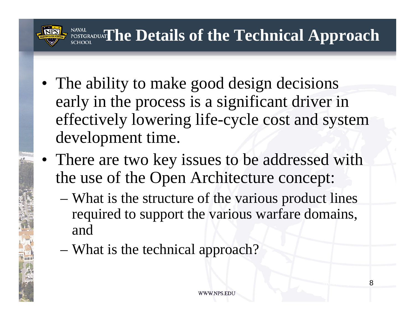

- The ability to make good design decisions early in the process is a significant driver in effectively lowering life-cycle cost and system development time.
- There are two key issues to be addressed with the use of the Open Architecture concept:
	- What is the structure of the various product lines required to support the various warfare domains, and
	- What is the technical approach?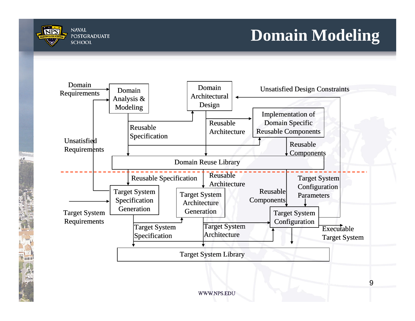

mm

# **Domain Modeling**

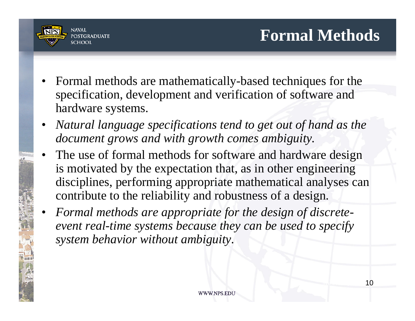

- Formal methods are mathematically-based techniques for the specification, development and verification of software and hardware systems.
- *Natural language specifications tend to get out of hand as the document grows and with growth comes ambiguity.*
- • The use of formal methods for software and hardware design is motivated by the expectation that, as in other engineering disciplines, performing appropriate mathematical analyses can contribute to the reliability and robustness of a design.
- • *Formal methods are appropriate for the design of discreteevent real-time systems because they can be used to specify system behavior without ambiguity.*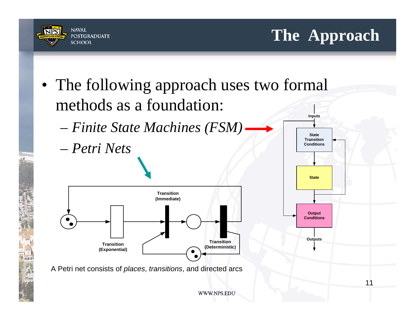



**The Approach**

WWW.NPS.EDU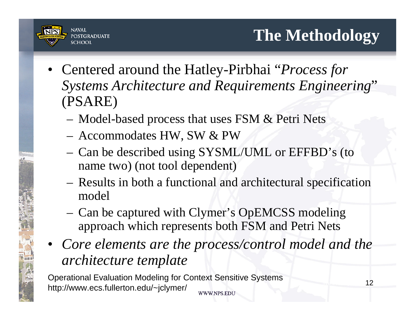

**SCHOOL** • Centered around the Hatley-Pirbhai "*Process for* 

**NAVAL** 

**POSTGRADIJATE** 

- *Systems Architecture and Requirements Engineering*" (PSARE)
	- Model-based process that uses FSM & Petri Nets
	- Accommodates HW, SW & PW
	- Can be described using SYSML/UML or EFFBD's (to name two) (not tool dependent)
	- Results in both a functional and architectural specification model
	- Can be captured with Clymer's OpEMCSS modeling approach which represents both FSM and Petri Nets
- *Core elements are the process/control model and the architecture template*

Operational Evaluation Modeling for Context Sensitive Systems http://www.ecs.fullerton.edu/~jclymer/WWW.NPS.EDU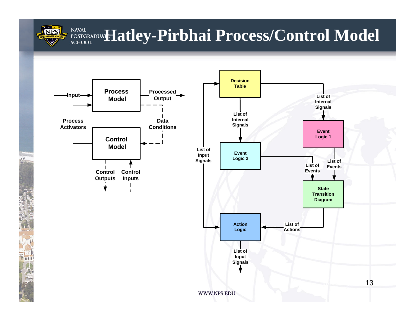

mm

#### **NAVAL HAYAL POSTGRADUAT Hatley-Pirbhai Process/Control Model SCHOOL**

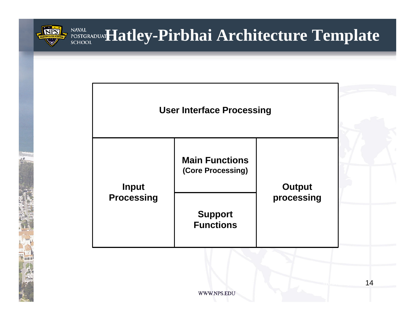

### **HATALE ANDUARY EXPRESS REPAIRING A FEMPLATE TEMPLATE NAVAL**

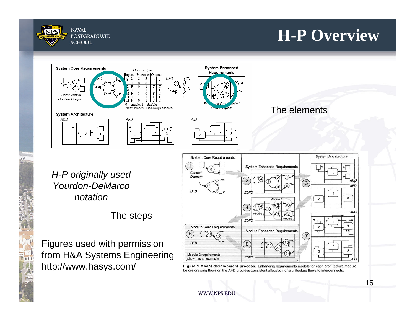

### **H-P Overview**





*H-P originally used Yourdon-DeMarco notation*

mill

The steps

Figures used with permission from H&A Systems Engineering http://www.hasys.com/



Figure 1 Model development process. Enhancing requirements models for each architecture module before drawing flows on the AFD provides consistent allocation of architecture flows to interconnects.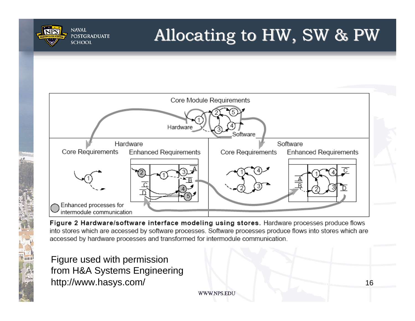

# Allocating to HW, SW & PW



Figure 2 Hardware/software interface modeling using stores. Hardware processes produce flows into stores which are accessed by software processes. Software processes produce flows into stores which are accessed by hardware processes and transformed for intermodule communication.

Figure used with permission from H&A Systems Engineering http://www.hasys.com/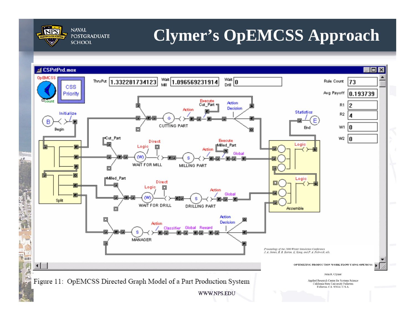

# **Clymer's OpEMCSS Approach**

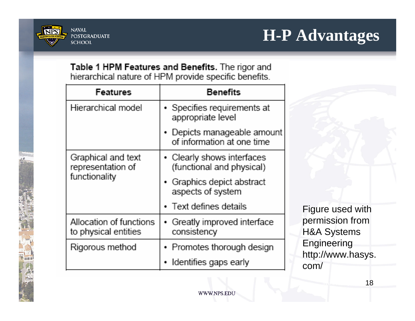![](_page_17_Picture_0.jpeg)

Table 1 HPM Features and Benefits. The rigor and hierarchical nature of HPM provide specific benefits.

| Features                                                 | <b>Benefits</b>                                           |
|----------------------------------------------------------|-----------------------------------------------------------|
| Hierarchical model                                       | • Specifies requirements at<br>appropriate level          |
|                                                          | • Depicts manageable amount<br>of information at one time |
| Graphical and text<br>representation of<br>functionality | • Clearly shows interfaces<br>(functional and physical)   |
|                                                          | • Graphics depict abstract<br>aspects of system           |
|                                                          | • Text defines details                                    |
| Allocation of functions<br>to physical entities          | • Greatly improved interface<br>consistency               |
| Rigorous method                                          | • Promotes thorough design                                |
|                                                          | Identifies gaps early<br>۰                                |

Figure used with permission from H&A Systems **Engineering** http://www.hasys. com/

WWW.NPS.EDU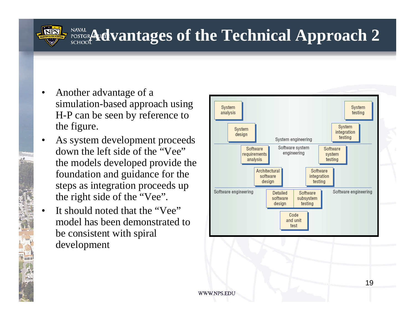- • Another advantage of a simulation-based approach using H-P can be seen by reference to the figure.
- • As system development proceeds down the left side of the "Vee" the models developed provide the foundation and guidance for the steps as integration proceeds up the right side of the "Vee".
- • It should noted that the "Vee" model has been demonstrated to be consistent with spiral development

![](_page_18_Figure_4.jpeg)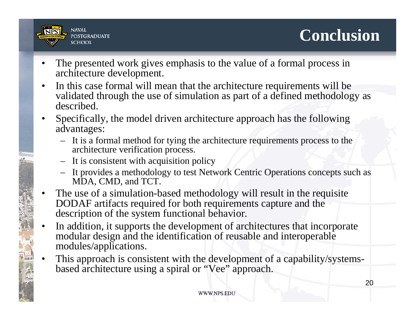![](_page_19_Picture_0.jpeg)

![](_page_19_Picture_1.jpeg)

- • The presented work gives emphasis to the value of a formal process in architecture development.
- • In this case formal will mean that the architecture requirements will be validated through the use of simulation as part of a defined methodology as described.
- • Specifically, the model driven architecture approach has the following advantages:
	- It is a formal method for tying the architecture requirements process to the architecture verification process.
	- It is consistent with acquisition policy
	- It provides a methodology to test Network Centric Operations concepts such as MDA, CMD, and TCT.
- • The use of a simulation-based methodology will result in the requisite DODAF artifacts required for both requirements capture and the description of the system functional behavior.
- • In addition, it supports the development of architectures that incorporate modular design and the identification of reusable and interoperable modules/applications.
- • This approach is consistent with the development of a capability/systemsbased architecture using a spiral or "Vee" approach.